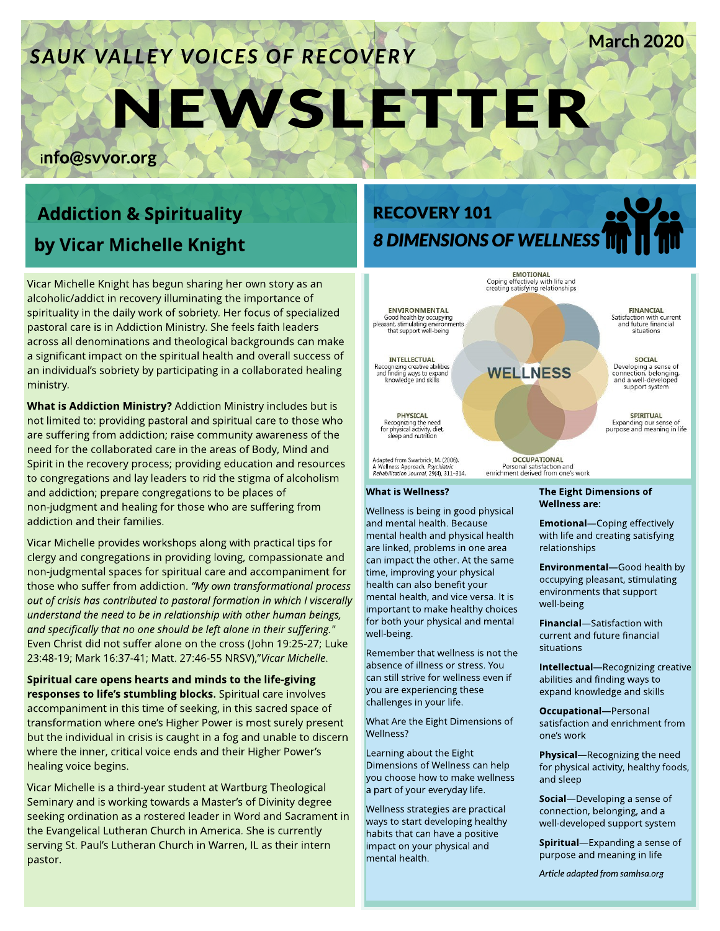# **SAUK VALLEY VOICES OF RECOVERY**

# NEW SLETTER

info@svvor.org

# **Addiction & Spirituality** by Vicar Michelle Knight

Vicar Michelle Knight has begun sharing her own story as an alcoholic/addict in recovery illuminating the importance of spirituality in the daily work of sobriety. Her focus of specialized pastoral care is in Addiction Ministry. She feels faith leaders across all denominations and theological backgrounds can make a significant impact on the spiritual health and overall success of an individual's sobriety by participating in a collaborated healing ministry.

What is Addiction Ministry? Addiction Ministry includes but is not limited to: providing pastoral and spiritual care to those who are suffering from addiction; raise community awareness of the need for the collaborated care in the areas of Body, Mind and Spirit in the recovery process; providing education and resources to congregations and lay leaders to rid the stigma of alcoholism and addiction; prepare congregations to be places of non-judgment and healing for those who are suffering from addiction and their families.

Vicar Michelle provides workshops along with practical tips for clergy and congregations in providing loving, compassionate and non-judgmental spaces for spiritual care and accompaniment for those who suffer from addiction. **?My own transformational process out of crisishascontributed to pastoral formation in which I viscerally understand the need to be in relationship with other human beings, and specifically that no one should be left alone in their suffering."** Even Christ did not suffer alone on the cross (John 19:25-27; Luke 23:48-19; Mark 16:37-41; Matt. 27:46-55 NRSV),"Vicar Michelle.

Spiritual care opens hearts and minds to the life-giving responses to life's stumbling blocks. Spiritual care involves accompaniment in this time of seeking, in this sacred space of transformation where one?s Higher Power is most surely present but the individual in crisis is caught in a fog and unable to discern where the inner, critical voice ends and their Higher Power's healing voice begins.

Vicar Michelle is a third-year student at Wartburg Theological Seminary and is working towards a Master?s of Divinity degree seeking ordination as a rostered leader in Word and Sacrament in the Evangelical Lutheran Church in America. She is currently serving St. Paul's Lutheran Church in Warren, IL as their intern pastor.

# RECOVERY 101 **8 DIMENSIONSOFWELLNESS**

**EMOTIONAL** 



#### What is Wellness?

Wellness is being in good physical and mental health. Because mental health and physical health are linked, problems in one area can impact the other. At the same time, improving your physical health can also benefit your mental health, and vice versa. It is important to make healthy choices for both your physical and mental well-being.

Remember that wellness is not the absence of illness or stress. You can still strive for wellness even if you are experiencing these challenges in your life.

What Are the Eight Dimensions of Wellness?

Learning about the Eight Dimensions of Wellness can help you choose how to make wellness a part of your everyday life.

Wellness strategies are practical ways to start developing healthy habits that can have a positive impact on your physical and mental health.

The Eight Dimensions of Wellness are:

**Emotional**-Coping effectively with life and creating satisfying relationships

March 2020

**Environmental**-Good health by occupying pleasant, stimulating environments that support well-being

**Financial**-Satisfaction with current and future financial situations

Intellectual-Recognizing creative abilities and finding ways to expand knowledge and skills

**Occupational**-Personal satisfaction and enrichment from one?s work

Physical-Recognizing the need for physical activity, healthy foods, and sleep

Social-Developing a sense of connection, belonging, and a well-developed support system

Spiritual-Expanding a sense of purpose and meaning in life

Article adapted from samhsa.org